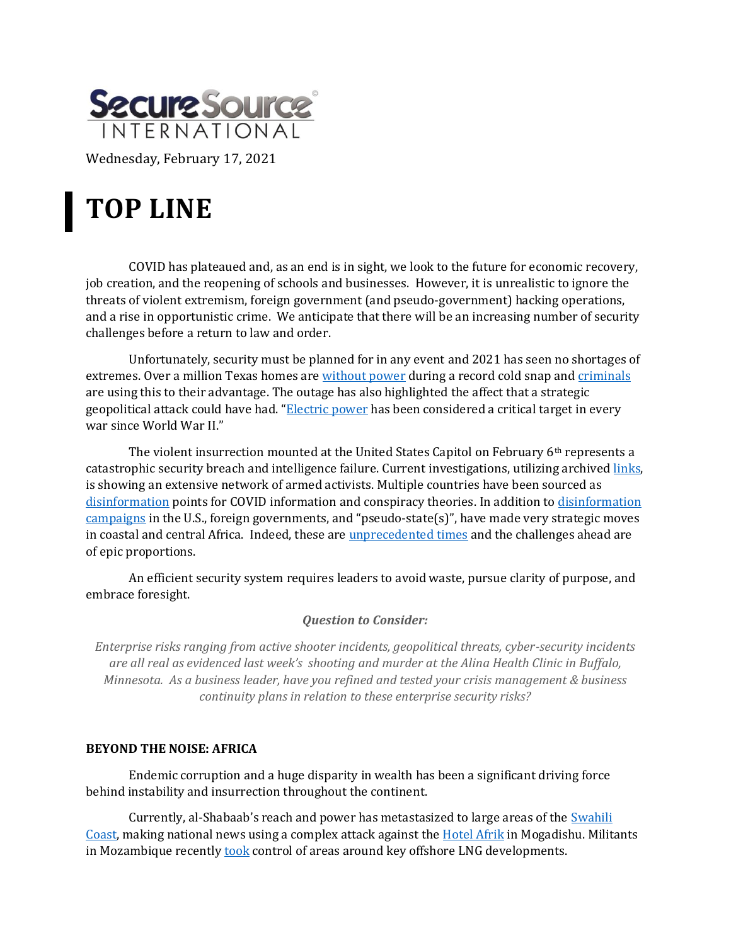

Wednesday, February 17, 2021

# **TOP LINE**

COVID has plateaued and, as an end is in sight, we look to the future for economic recovery, job creation, and the reopening of schools and businesses. However, it is unrealistic to ignore the threats of violent extremism, foreign government (and pseudo-government) hacking operations, and a rise in opportunistic crime. We anticipate that there will be an increasing number of security challenges before a return to law and order.

Unfortunately, security must be planned for in any event and 2021 has seen no shortages of extremes. Over a million Texas homes are [without power](https://www.kxan.com/news/local/oncor-says-ercot-not-able-to-predict-when-extended-power-outage-will-end/) during a record cold snap an[d criminals](https://abc13.com/texas-power-outage-centerpoint-energy-fake-workers-robbery/10342478/) are using this to their advantage. The outage has also highlighted the affect that a strategic geopolitical attack could have had. "[Electric power](https://media.defense.gov/2017/Dec/29/2001861964/-1/-1/0/T_GRIFFITH_STRATEGIC_ATTACK.PDF) has been considered a critical target in every war since World War II."

The violent insurrection mounted at the United States Capitol on February 6<sup>th</sup> represents a catastrophic security breach and intelligence failure. Current investigations, utilizing archived [links,](https://www.politico.eu/article/hashtags-come-to-life-how-online-extremists-fueled-wednesdays-capitol-hill-insurrection/) is showing an extensive network of armed activists. Multiple countries have been sourced as [disinformation](https://apnews.com/article/conspiracy-theories-iran-only-on-ap-media-misinformation-bfca6d5b236a29d61c4dd38702495ffe) points for COVID information and conspiracy theories. In addition t[o disinformation](https://www.brandeis.edu/now/2020/october/elections-russia-disinformation-social-media.html)  [campaigns](https://www.brandeis.edu/now/2020/october/elections-russia-disinformation-social-media.html) in the U.S., foreign governments, and "pseudo-state(s)", have made very strategic moves in coastal and central Africa. Indeed, these are [unprecedented times](https://www.nbcnews.com/tech/internet/increasingly-militant-parler-refugees-anxious-qanon-adherents-prep-doomsday-n1254775) and the challenges ahead are of epic proportions.

An efficient security system requires leaders to avoid waste, pursue clarity of purpose, and embrace foresight.

## *Question to Consider:*

*Enterprise risks ranging from active shooter incidents, geopolitical threats, cyber-security incidents are all real as evidenced last week's shooting and murder at the Alina Health Clinic in Buffalo, Minnesota. As a business leader, have you refined and tested your crisis management & business continuity plans in relation to these enterprise security risks?*

## **BEYOND THE NOISE: AFRICA**

Endemic corruption and a huge disparity in wealth has been a significant driving force behind instability and insurrection throughout the continent.

Currently, al-Shabaab's reach and power has metastasized to large areas of the [Swahili](https://www.cfr.org/blog/separatism-salafism-militancy-swahili-coast)  [Coast,](https://www.cfr.org/blog/separatism-salafism-militancy-swahili-coast) making national news using a complex attack against the [Hotel Afrik](https://www.dw.com/en/somalia-militant-group-al-shabab-claims-attack-on-hotel/a-56399386) in Mogadishu. Militants in Mozambique recently **took** control of areas around key offshore LNG developments.